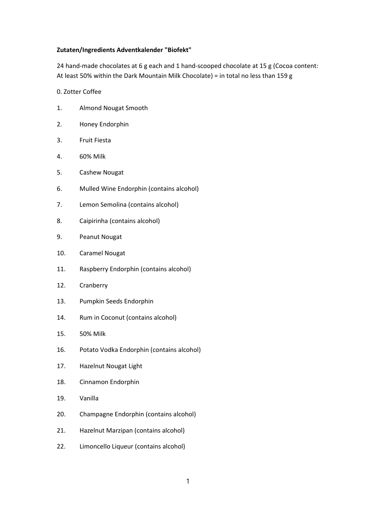## Zutaten/Ingredients Adventkalender "Biofekt"

24 hand-made chocolates at 6 g each and 1 hand-scooped chocolate at 15 g (Cocoa content: At least 50% within the Dark Mountain Milk Chocolate) = in total no less than 159 g

## 0. Zotter Coffee

- 1. Almond Nougat Smooth
- 2. Honey Endorphin
- 3. Fruit Fiesta
- 4. 60% Milk
- 5. Cashew Nougat
- 6. Mulled Wine Endorphin (contains alcohol)
- 7. Lemon Semolina (contains alcohol)
- 8. Caipirinha (contains alcohol)
- 9. Peanut Nougat
- 10. Caramel Nougat
- 11. Raspberry Endorphin (contains alcohol)
- 12. Cranberry
- 13. Pumpkin Seeds Endorphin
- 14. Rum in Coconut (contains alcohol)
- 15. 50% Milk
- 16. Potato Vodka Endorphin (contains alcohol)
- 17. Hazelnut Nougat Light
- 18. Cinnamon Endorphin
- 19. Vanilla
- 20. Champagne Endorphin (contains alcohol)
- 21. Hazelnut Marzipan (contains alcohol)
- 22. Limoncello Liqueur (contains alcohol)